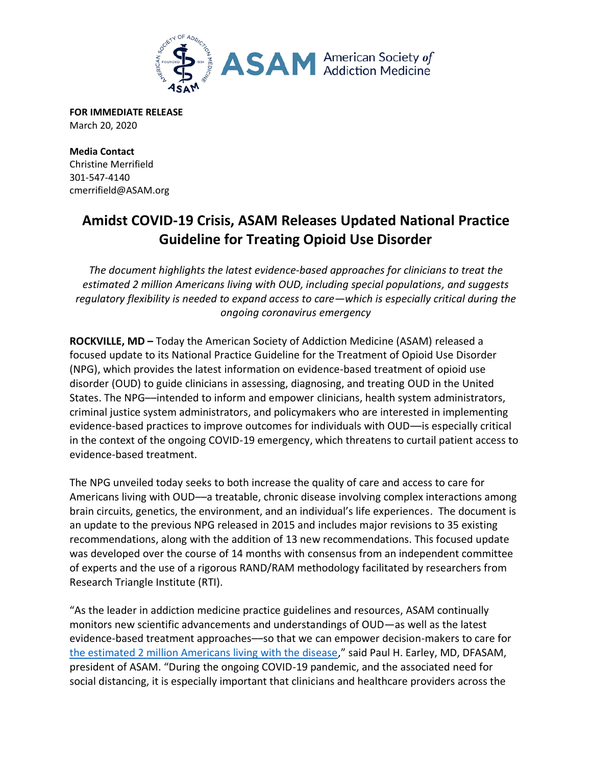

**FOR IMMEDIATE RELEASE** March 20, 2020

**Media Contact** Christine Merrifield 301-547-4140 cmerrifield@ASAM.org

## **Amidst COVID-19 Crisis, ASAM Releases Updated National Practice Guideline for Treating Opioid Use Disorder**

*The document highlights the latest evidence-based approaches for clinicians to treat the estimated 2 million Americans living with OUD, including special populations, and suggests regulatory flexibility is needed to expand access to care—which is especially critical during the ongoing coronavirus emergency* 

**ROCKVILLE, MD –** Today the American Society of Addiction Medicine (ASAM) released a focused update to its National Practice Guideline for the Treatment of Opioid Use Disorder (NPG), which provides the latest information on evidence-based treatment of opioid use disorder (OUD) to guide clinicians in assessing, diagnosing, and treating OUD in the United States. The NPG––intended to inform and empower clinicians, health system administrators, criminal justice system administrators, and policymakers who are interested in implementing evidence-based practices to improve outcomes for individuals with OUD––is especially critical in the context of the ongoing COVID-19 emergency, which threatens to curtail patient access to evidence-based treatment.

The NPG unveiled today seeks to both increase the quality of care and access to care for Americans living with OUD––a treatable, chronic disease involving complex interactions among brain circuits, genetics, the environment, and an individual's life experiences. The document is an update to the previous NPG released in 2015 and includes major revisions to 35 existing recommendations, along with the addition of 13 new recommendations. This focused update was developed over the course of 14 months with consensus from an independent committee of experts and the use of a rigorous RAND/RAM methodology facilitated by researchers from Research Triangle Institute (RTI).

"As the leader in addiction medicine practice guidelines and resources, ASAM continually monitors new scientific advancements and understandings of OUD—as well as the latest evidence-based treatment approaches––so that we can empower decision-makers to care for [the estimated 2 million Americans living with the disease](https://www.samhsa.gov/data/sites/default/files/cbhsq-reports/NSDUHNationalFindingsReport2018/NSDUHNationalFindingsReport2018.htm#sud10)," said Paul H. Earley, MD, DFASAM, president of ASAM. "During the ongoing COVID-19 pandemic, and the associated need for social distancing, it is especially important that clinicians and healthcare providers across the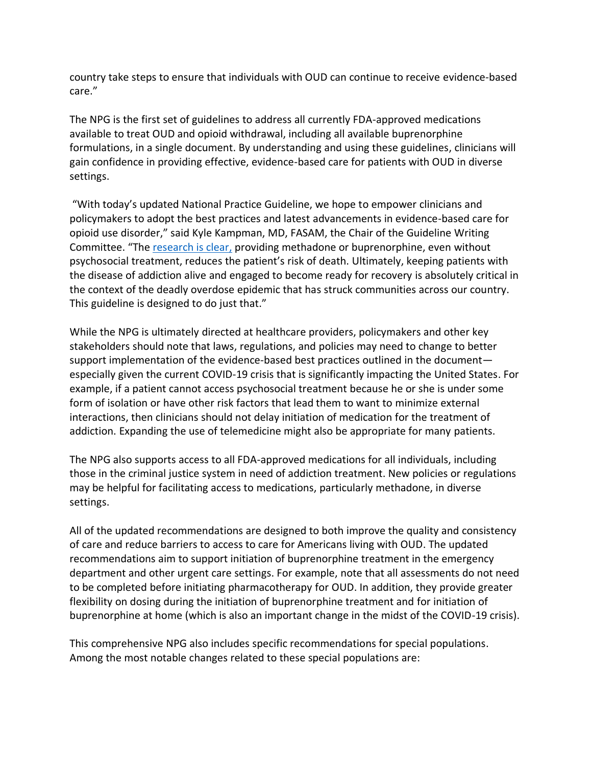country take steps to ensure that individuals with OUD can continue to receive evidence-based care."

The NPG is the first set of guidelines to address all currently FDA-approved medications available to treat OUD and opioid withdrawal, including all available buprenorphine formulations, in a single document. By understanding and using these guidelines, clinicians will gain confidence in providing effective, evidence-based care for patients with OUD in diverse settings.

"With today's updated National Practice Guideline, we hope to empower clinicians and policymakers to adopt the best practices and latest advancements in evidence-based care for opioid use disorder," said Kyle Kampman, MD, FASAM, the Chair of the Guideline Writing Committee. "The [research is clear,](https://www.drugabuse.gov/publications/research-reports/medications-to-treat-opioid-addiction/efficacy-medications-opioid-use-disorder) providing methadone or buprenorphine, even without psychosocial treatment, reduces the patient's risk of death. Ultimately, keeping patients with the disease of addiction alive and engaged to become ready for recovery is absolutely critical in the context of the deadly overdose epidemic that has struck communities across our country. This guideline is designed to do just that."

While the NPG is ultimately directed at healthcare providers, policymakers and other key stakeholders should note that laws, regulations, and policies may need to change to better support implementation of the evidence-based best practices outlined in the document especially given the current COVID-19 crisis that is significantly impacting the United States. For example, if a patient cannot access psychosocial treatment because he or she is under some form of isolation or have other risk factors that lead them to want to minimize external interactions, then clinicians should not delay initiation of medication for the treatment of addiction. Expanding the use of telemedicine might also be appropriate for many patients.

The NPG also supports access to all FDA-approved medications for all individuals, including those in the criminal justice system in need of addiction treatment. New policies or regulations may be helpful for facilitating access to medications, particularly methadone, in diverse settings.

All of the updated recommendations are designed to both improve the quality and consistency of care and reduce barriers to access to care for Americans living with OUD. The updated recommendations aim to support initiation of buprenorphine treatment in the emergency department and other urgent care settings. For example, note that all assessments do not need to be completed before initiating pharmacotherapy for OUD. In addition, they provide greater flexibility on dosing during the initiation of buprenorphine treatment and for initiation of buprenorphine at home (which is also an important change in the midst of the COVID-19 crisis).

This comprehensive NPG also includes specific recommendations for special populations. Among the most notable changes related to these special populations are: